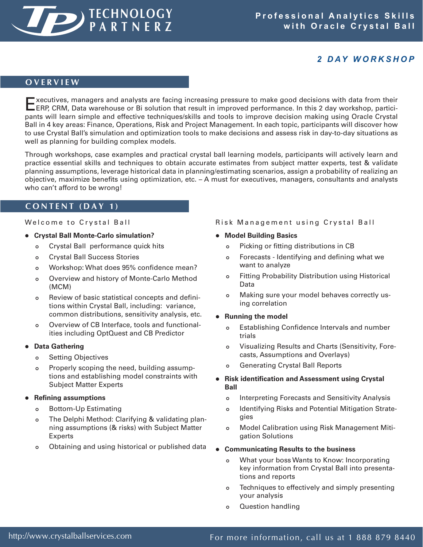

## *2 D AY W O R K S H O P*

## **O V E R V I E W**

Executives, managers and analysts are facing increasing pressure to make good decisions with data from their<br>ERP, CRM, Data warehouse or Bi solution that result in improved performance. In this 2 day workshop, participants will learn simple and effective techniques/skills and tools to improve decision making using Oracle Crystal Ball in 4 key areas: Finance, Operations, Risk and Project Management. In each topic, participants will discover how to use Crystal Ball's simulation and optimization tools to make decisions and assess risk in day-to-day situations as well as planning for building complex models.

Through workshops, case examples and practical crystal ball learning models, participants will actively learn and practice essential skills and techniques to obtain accurate estimates from subject matter experts, test & validate planning assumptions, leverage historical data in planning/estimating scenarios, assign a probability of realizing an objective, maximize benefits using optimization, etc. – A must for executives, managers, consultants and analysts who can't afford to be wrong!

## **C O N T E N T ( D A Y 1 )**

Welcome to Crystal Ball

- **Crystal Ball Monte-Carlo simulation?**
	- Crystal Ball performance quick hits  $\circ$
	- Crystal Ball Success Stories  $\circ$
	- Workshop: What does 95% confidence mean?  $\circ$
	- Overview and history of Monte-Carlo Method (MCM)  $\circ$
	- Review of basic statistical concepts and definitions within Crystal Ball, including: variance, common distributions, sensitivity analysis, etc.  $\circ$
	- Overview of CB Interface, tools and functionalities including OptQuest and CB Predictor  $\circ$

#### **Data Gathering**  $\bullet$

- Setting Objectives  $\circ$
- Properly scoping the need, building assumptions and establishing model constraints with Subject Matter Experts  $\circ$

### **Refining assumptions**

- Bottom-Up Estimating  $\circ$
- The Delphi Method: Clarifying & validating planning assumptions (& risks) with Subject Matter Experts  $\circ$
- Obtaining and using historical or published data  $\circ$

### Risk Management using Crystal Ball

- **Model Building Basics**
	- Picking or fitting distributions in CB  $\circ$
	- Forecasts Identifying and defining what we want to analyze  $\circ$
	- Fitting Probability Distribution using Historical Data  $\circ$
	- Making sure your model behaves correctly using correlation  $\Omega$

### **Running the model**

- Establishing Confidence Intervals and number trials  $\circ$
- Visualizing Results and Charts (Sensitivity, Forecasts, Assumptions and Overlays)  $\circ$
- Generating Crystal Ball Reports  $\circ$
- **Risk identification and Assessment using Crystal Ball**
	- Interpreting Forecasts and Sensitivity Analysis  $\circ$
	- Identifying Risks and Potential Mitigation Strategies  $\circ$
	- Model Calibration using Risk Management Mitigation Solutions  $\circ$
- **Communicating Results to the business**
	- What your boss Wants to Know: Incorporating key information from Crystal Ball into presentations and reports o
	- Techniques to effectively and simply presenting your analysis  $\circ$
	- Question handling  $\circ$